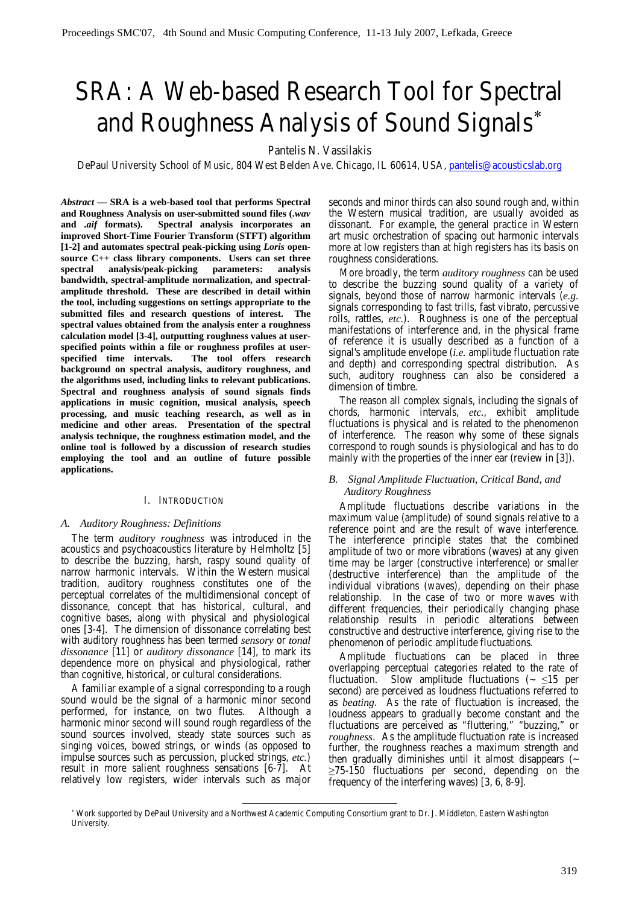# SRA: A Web-based Research Tool for Spectral and Roughness Analysis of Sound Signals

Pantelis N. Vassilakis

DePaul University School of Music, 804 West Belden Ave. Chicago, IL 60614, USA, pantelis@acousticslab.org

*Abstract* **— SRA is a web-based tool that performs Spectral and Roughness Analysis on user-submitted sound files (.***wav* **and .***aif* **formats). Spectral analysis incorporates an improved Short-Time Fourier Transform (STFT) algorithm [1-2] and automates spectral peak-picking using** *Loris* **opensource C++ class library components. Users can set three spectral analysis/peak-picking parameters: analysis bandwidth, spectral-amplitude normalization, and spectralamplitude threshold. These are described in detail within the tool, including suggestions on settings appropriate to the submitted files and research questions of interest. The spectral values obtained from the analysis enter a roughness calculation model [3-4], outputting roughness values at userspecified points within a file or roughness profiles at userspecified time intervals. The tool offers research background on spectral analysis, auditory roughness, and the algorithms used, including links to relevant publications. Spectral and roughness analysis of sound signals finds applications in music cognition, musical analysis, speech processing, and music teaching research, as well as in medicine and other areas. Presentation of the spectral analysis technique, the roughness estimation model, and the online tool is followed by a discussion of research studies employing the tool and an outline of future possible applications.**

# I. INTRODUCTION

# *A. Auditory Roughness: Definitions*

The term *auditory roughness* was introduced in the acoustics and psychoacoustics literature by Helmholtz [5] to describe the buzzing, harsh, raspy sound quality of narrow harmonic intervals. Within the Western musical tradition, auditory roughness constitutes one of the perceptual correlates of the multidimensional concept of dissonance, concept that has historical, cultural, and cognitive bases, along with physical and physiological ones [3-4]. The dimension of dissonance correlating best with auditory roughness has been termed *sensory* or *tonal dissonance* [11] or *auditory dissonance* [14], to mark its dependence more on physical and physiological, rather than cognitive, historical, or cultural considerations.

A familiar example of a signal corresponding to a rough sound would be the signal of a harmonic minor second performed, for instance, on two flutes. Although a harmonic minor second will sound rough regardless of the sound sources involved, steady state sources such as singing voices, bowed strings, or winds (as opposed to impulse sources such as percussion, plucked strings, *etc.*) result in more salient roughness sensations [6-7]. At relatively low registers, wider intervals such as major

seconds and minor thirds can also sound rough and, within the Western musical tradition, are usually avoided as dissonant. For example, the general practice in Western art music orchestration of spacing out harmonic intervals more at low registers than at high registers has its basis on roughness considerations.

More broadly, the term *auditory roughness* can be used to describe the buzzing sound quality of a variety of signals, beyond those of narrow harmonic intervals (*e.g.* signals corresponding to fast trills, fast vibrato, percussive rolls, rattles, *etc.*). Roughness is one of the perceptual manifestations of interference and, in the physical frame of reference it is usually described as a function of a signal's amplitude envelope (*i.e.* amplitude fluctuation rate and depth) and corresponding spectral distribution. As such, auditory roughness can also be considered a dimension of timbre.

The reason all complex signals, including the signals of chords, harmonic intervals, *etc.*, exhibit amplitude fluctuations is physical and is related to the phenomenon of interference. The reason why some of these signals correspond to rough sounds is physiological and has to do mainly with the properties of the inner ear (review in [3]).

# *B. Signal Amplitude Fluctuation, Critical Band, and Auditory Roughness*

Amplitude fluctuations describe variations in the maximum value (amplitude) of sound signals relative to a reference point and are the result of wave interference. The interference principle states that the combined amplitude of two or more vibrations (waves) at any given time may be larger (constructive interference) or smaller (destructive interference) than the amplitude of the individual vibrations (waves), depending on their phase relationship. In the case of two or more waves with different frequencies, their periodically changing phase relationship results in periodic alterations between constructive and destructive interference, giving rise to the phenomenon of periodic amplitude fluctuations.

Amplitude fluctuations can be placed in three overlapping perceptual categories related to the rate of fluctuation. Slow amplitude fluctuations ( $\sim$   $\leq$ 15 per second) are perceived as loudness fluctuations referred to as *beating*. As the rate of fluctuation is increased, the loudness appears to gradually become constant and the fluctuations are perceived as "fluttering," "buzzing," or *roughness*. As the amplitude fluctuation rate is increased further, the roughness reaches a maximum strength and then gradually diminishes until it almost disappears (~ ≥75-150 fluctuations per second, depending on the frequency of the interfering waves) [3, 6, 8-9].

 $\overline{a}$ 

 Work supported by DePaul University and a Northwest Academic Computing Consortium grant to Dr. J. Middleton, Eastern Washington University.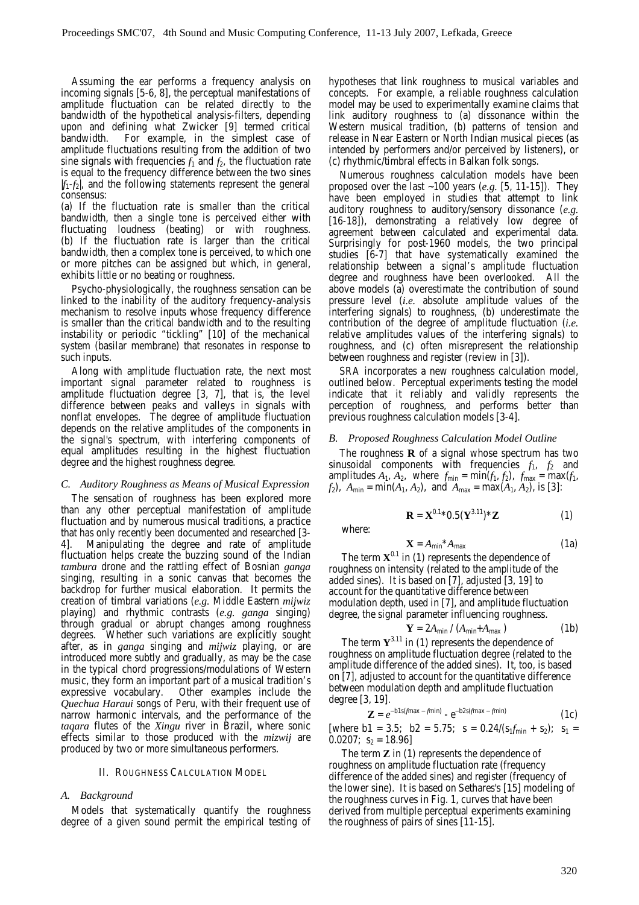Assuming the ear performs a frequency analysis on incoming signals [5-6, 8], the perceptual manifestations of amplitude fluctuation can be related directly to the bandwidth of the hypothetical analysis-filters, depending upon and defining what Zwicker [9] termed critical bandwidth. For example, in the simplest case of amplitude fluctuations resulting from the addition of two sine signals with frequencies  $f_1$  and  $f_2$ , the fluctuation rate is equal to the frequency difference between the two sines  $|f_1-f_2|$ , and the following statements represent the general consensus:

(a) If the fluctuation rate is smaller than the critical bandwidth, then a single tone is perceived either with fluctuating loudness (beating) or with roughness. (b) If the fluctuation rate is larger than the critical bandwidth, then a complex tone is perceived, to which one or more pitches can be assigned but which, in general, exhibits little or no beating or roughness.

Psycho-physiologically, the roughness sensation can be linked to the inability of the auditory frequency-analysis mechanism to resolve inputs whose frequency difference is smaller than the critical bandwidth and to the resulting instability or periodic "tickling" [10] of the mechanical system (basilar membrane) that resonates in response to such inputs.

Along with amplitude fluctuation rate, the next most important signal parameter related to roughness is amplitude fluctuation degree [3, 7], that is, the level difference between peaks and valleys in signals with nonflat envelopes. The degree of amplitude fluctuation depends on the relative amplitudes of the components in the signal's spectrum, with interfering components of equal amplitudes resulting in the highest fluctuation degree and the highest roughness degree.

# *C. Auditory Roughness as Means of Musical Expression*

The sensation of roughness has been explored more than any other perceptual manifestation of amplitude fluctuation and by numerous musical traditions, a practice that has only recently been documented and researched [3- 4]. Manipulating the degree and rate of amplitude fluctuation helps create the buzzing sound of the Indian *tambura* drone and the rattling effect of Bosnian *ganga* singing, resulting in a sonic canvas that becomes the backdrop for further musical elaboration. It permits the creation of timbral variations (*e.g.* Middle Eastern *mijwiz* playing) and rhythmic contrasts (*e.g. ganga* singing) through gradual or abrupt changes among roughness degrees. Whether such variations are explicitly sought after, as in *ganga* singing and *mijwiz* playing, or are introduced more subtly and gradually, as may be the case in the typical chord progressions/modulations of Western music, they form an important part of a musical tradition's expressive vocabulary. Other examples include the *Quechua Haraui* songs of Peru, with their frequent use of narrow harmonic intervals, and the performance of the *taqara* flutes of the *Xingu* river in Brazil, where sonic effects similar to those produced with the *mizwij* are produced by two or more simultaneous performers.

# II. ROUGHNESS CALCULATION MODEL

# *A. Background*

Models that systematically quantify the roughness degree of a given sound permit the empirical testing of hypotheses that link roughness to musical variables and concepts. For example, a reliable roughness calculation model may be used to experimentally examine claims that link auditory roughness to (a) dissonance within the Western musical tradition, (b) patterns of tension and release in Near Eastern or North Indian musical pieces (as intended by performers and/or perceived by listeners), or (c) rhythmic/timbral effects in Balkan folk songs.

Numerous roughness calculation models have been proposed over the last ~100 years (*e.g.* [5, 11-15]). They have been employed in studies that attempt to link auditory roughness to auditory/sensory dissonance (*e.g.* [16-18]), demonstrating a relatively low degree of agreement between calculated and experimental data. Surprisingly for post-1960 models, the two principal studies [6-7] that have systematically examined the relationship between a signal's amplitude fluctuation degree and roughness have been overlooked. All the above models (a) overestimate the contribution of sound pressure level (*i.e.* absolute amplitude values of the interfering signals) to roughness, (b) underestimate the contribution of the degree of amplitude fluctuation (*i.e.* relative amplitudes values of the interfering signals) to roughness, and (c) often misrepresent the relationship between roughness and register (review in [3]).

SRA incorporates a new roughness calculation model, outlined below. Perceptual experiments testing the model indicate that it reliably and validly represents the perception of roughness, and performs better than previous roughness calculation models [3-4].

# *B. Proposed Roughness Calculation Model Outline*

The roughness **R** of a signal whose spectrum has two sinusoidal components with frequencies  $f_1$ ,  $f_2$  and amplitudes  $A_1$ ,  $A_2$ , where  $f_{\text{min}} = \min(f_1, f_2)$ ,  $f_{\text{max}} = \max(f_1, f_2)$  $f_2$ ),  $A_{\min} = \min(A_1, A_2)$ , and  $A_{\max} = \max(A_1, A_2)$ , is [3]:

$$
R = X^{0.1*} 0.5(Y^{3.11})^* Z
$$
 (1)

where:

$$
\mathbf{X} = A_{\min}{}^* A_{\max} \tag{1a}
$$

The term  $X^{0.1}$  in (1) represents the dependence of roughness on intensity (related to the amplitude of the added sines). It is based on [7], adjusted [3, 19] to account for the quantitative difference between modulation depth, used in [7], and amplitude fluctuation degree, the signal parameter influencing roughness.

$$
\mathbf{Y} = 2A_{\min} / (A_{\min} + A_{\max})
$$
 (1b)

The term **Y**3.11 in (1) represents the dependence of roughness on amplitude fluctuation degree (related to the amplitude difference of the added sines). It, too, is based on [7], adjusted to account for the quantitative difference between modulation depth and amplitude fluctuation degree [3, 19].

$$
\mathbf{Z} = e^{-b1s(\text{fmax} - \text{fmin})} - e^{-b2s(\text{fmax} - \text{fmin})}
$$
 (1c)

[where  $b1 = 3.5$ ;  $b2 = 5.75$ ;  $s = 0.24/(s_1 f_{min} + s_2)$ ;  $s_1 =$ 0.0207;  $s_2 = 18.96$ 

The term **Z** in (1) represents the dependence of roughness on amplitude fluctuation rate (frequency difference of the added sines) and register (frequency of the lower sine). It is based on Sethares's [15] modeling of the roughness curves in Fig. 1, curves that have been derived from multiple perceptual experiments examining the roughness of pairs of sines [11-15].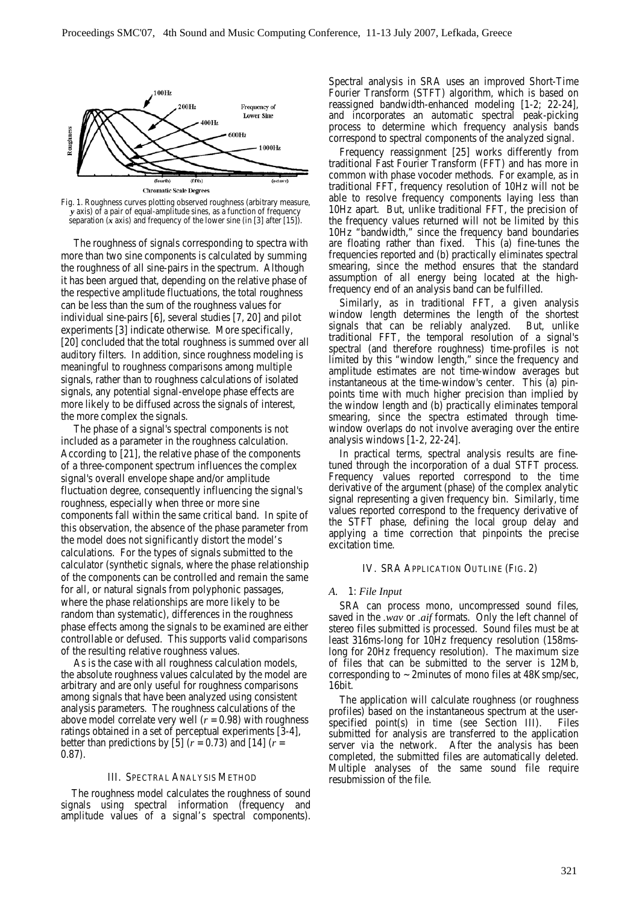

Fig. 1. Roughness curves plotting observed roughness (arbitrary measure, *y* axis) of a pair of equal-amplitude sines, as a function of frequency separation (*x* axis) and frequency of the lower sine (in [3] after [15]).

The roughness of signals corresponding to spectra with more than two sine components is calculated by summing the roughness of all sine-pairs in the spectrum. Although it has been argued that, depending on the relative phase of the respective amplitude fluctuations, the total roughness can be less than the sum of the roughness values for individual sine-pairs [6], several studies [7, 20] and pilot experiments [3] indicate otherwise. More specifically, [20] concluded that the total roughness is summed over all auditory filters. In addition, since roughness modeling is meaningful to roughness comparisons among multiple signals, rather than to roughness calculations of isolated signals, any potential signal-envelope phase effects are more likely to be diffused across the signals of interest, the more complex the signals.

The phase of a signal's spectral components is not included as a parameter in the roughness calculation. According to [21], the relative phase of the components of a three-component spectrum influences the complex signal's overall envelope shape and/or amplitude fluctuation degree, consequently influencing the signal's roughness, especially when three or more sine components fall within the same critical band. In spite of this observation, the absence of the phase parameter from the model does not significantly distort the model's calculations. For the types of signals submitted to the calculator (synthetic signals, where the phase relationship of the components can be controlled and remain the same for all, or natural signals from polyphonic passages, where the phase relationships are more likely to be random than systematic), differences in the roughness phase effects among the signals to be examined are either controllable or defused. This supports valid comparisons of the resulting relative roughness values.

As is the case with all roughness calculation models, the absolute roughness values calculated by the model are arbitrary and are only useful for roughness comparisons among signals that have been analyzed using consistent analysis parameters. The roughness calculations of the above model correlate very well  $(r = 0.98)$  with roughness ratings obtained in a set of perceptual experiments [3-4], better than predictions by [5]  $(r = 0.73)$  and [14]  $(r =$ 0.87).

# III. SPECTRAL ANALYSIS METHOD

The roughness model calculates the roughness of sound signals using spectral information (frequency and amplitude values of a signal's spectral components). Spectral analysis in SRA uses an improved Short-Time Fourier Transform (STFT) algorithm, which is based on reassigned bandwidth-enhanced modeling [1-2; 22-24], and incorporates an automatic spectral peak-picking process to determine which frequency analysis bands correspond to spectral components of the analyzed signal.

Frequency reassignment [25] works differently from traditional Fast Fourier Transform (FFT) and has more in common with phase vocoder methods. For example, as in traditional FFT, frequency resolution of 10Hz will not be able to resolve frequency components laying less than 10Hz apart. But, unlike traditional FFT, the precision of the frequency values returned will not be limited by this 10Hz "bandwidth," since the frequency band boundaries are floating rather than fixed. This (a) fine-tunes the frequencies reported and (b) practically eliminates spectral smearing, since the method ensures that the standard assumption of all energy being located at the highfrequency end of an analysis band can be fulfilled.

Similarly, as in traditional FFT, a given analysis window length determines the length of the shortest signals that can be reliably analyzed. But, unlike traditional FFT, the temporal resolution of a signal's spectral (and therefore roughness) time-profiles is not limited by this "window length," since the frequency and amplitude estimates are not time-window averages but instantaneous at the time-window's center. This (a) pinpoints time with much higher precision than implied by the window length and (b) practically eliminates temporal smearing, since the spectra estimated through timewindow overlaps do not involve averaging over the entire analysis windows [1-2, 22-24].

In practical terms, spectral analysis results are finetuned through the incorporation of a dual STFT process. Frequency values reported correspond to the time derivative of the argument (phase) of the complex analytic signal representing a given frequency bin. Similarly, time values reported correspond to the frequency derivative of the STFT phase, defining the local group delay and applying a time correction that pinpoints the precise excitation time.

# IV. SRA APPLICATION OUTLINE (FIG. 2)

# *A.* 1: *File Input*

SRA can process mono, uncompressed sound files, saved in the *.wav* or *.aif* formats. Only the left channel of stereo files submitted is processed. Sound files must be at least 316ms-long for 10Hz frequency resolution (158mslong for 20Hz frequency resolution). The maximum size of files that can be submitted to the server is 12Mb, corresponding to ~ 2minutes of mono files at 48Ksmp/sec, 16bit.

The application will calculate roughness (or roughness profiles) based on the instantaneous spectrum at the userspecified point(s) in time (see Section III). Files submitted for analysis are transferred to the application server via the network. After the analysis has been completed, the submitted files are automatically deleted. Multiple analyses of the same sound file require resubmission of the file.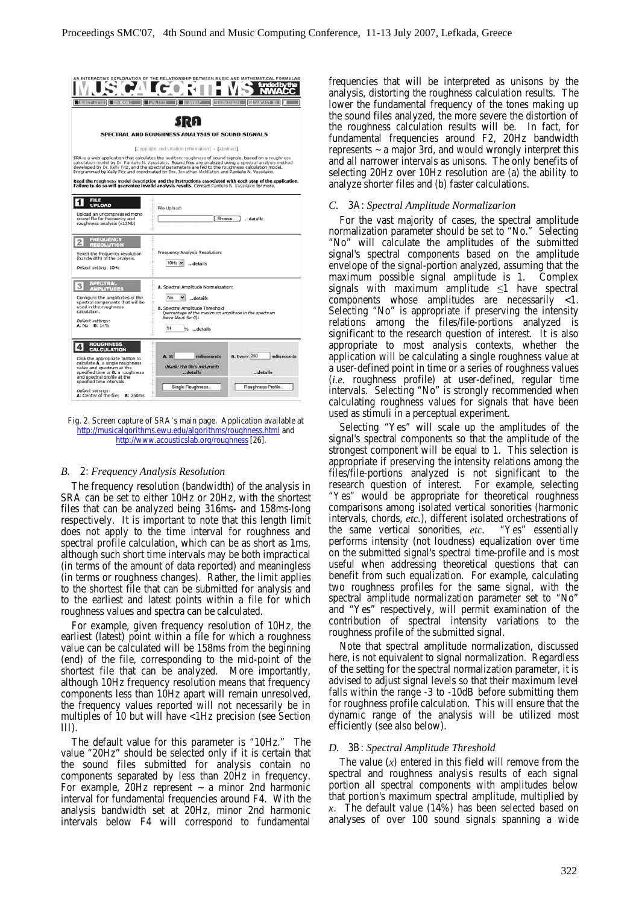| ABOUT SITE CONFOSE                                                                                                                                                                                                                                                                                                  | AN INTERACTIVE EXPLORATION OF THE RELATIONSHIP BETWEEN MUSIC AND MATHEMATICAL FORMULAS<br>EISTORY RESOURCES<br>CONTACT US<br>ANALYZE                                                                                                                                                                                                                                                                                                                                                                                                                                                                                                                                                                                                                                                           |  |  |
|---------------------------------------------------------------------------------------------------------------------------------------------------------------------------------------------------------------------------------------------------------------------------------------------------------------------|------------------------------------------------------------------------------------------------------------------------------------------------------------------------------------------------------------------------------------------------------------------------------------------------------------------------------------------------------------------------------------------------------------------------------------------------------------------------------------------------------------------------------------------------------------------------------------------------------------------------------------------------------------------------------------------------------------------------------------------------------------------------------------------------|--|--|
| <b>FILE</b><br><b>UPLOAD</b><br>Upload an uncompressed mono<br>sound file for frequency and                                                                                                                                                                                                                         | SPECTRAL AND ROUGHNESS ANALYSIS OF SOUND SIGNALS<br>[Copyright and Citation Information] - [Abstract]<br>SRA is a web application that calculates the auditory roughness of sound signals, based on a roughness<br>calculation model by Dr. Pantelis N. Vassilakis. Sound files are analyzed using a spectral analysis method<br>developed by Dr. Kelly Fitz, and the spectral parameters are fed to the roughness calculation model.<br>Programmed by Kelly Fitz and coordinated by Drs. Jonathan Middleton and Pantelis N. Vassilakis.<br>Read the roughness model description and the instructions associated with each step of the application.<br>Failure to do so will quarantee invalid analysis results. Contact Pantelis N. Vassilakis for more.<br>File Upload:<br>Browse<br>details |  |  |
| roughness analysis (s12Mb)<br><b>FREQUENCY</b><br><b>RESOLUTION</b><br>Select the frequency resolution<br>(bandwidth) of the analysis.<br>Default setting: 10Hz                                                                                                                                                     | Frequency Analysis Resolution:<br>$10Hz$ $\blacktriangleright$<br>details                                                                                                                                                                                                                                                                                                                                                                                                                                                                                                                                                                                                                                                                                                                      |  |  |
| <b>SPECTRAL</b><br><b>AMPLITUDES</b><br>Configure the amplitudes of the<br>spectral components that will be<br>used in the roughness<br>calculation.<br>Default settings:<br>A: No B: 14%                                                                                                                           | A. Spectral Amplitude Normalization:<br>No<br>details<br><b>B.</b> Spectral Amplitude Threshold<br>(percentage of the maximum amplitude in the spectrum<br>leave blank for 0):<br>14<br>details                                                                                                                                                                                                                                                                                                                                                                                                                                                                                                                                                                                                |  |  |
| <b>ROUGHNESS</b><br><b>CALCULATION</b><br>Click the appropriate button to<br>calculate A. a single roughness<br>value and spectrum at the<br>specified time or <b>B</b> . a roughness<br>and spectral profile at the<br>specified time intervals.<br>Default settings:<br>A: Center of the file:<br><b>B:</b> 250ms | <b>B.</b> Every 250<br>A. At<br>milliseconds<br>milliseconds<br>(blank: the file's mid-point)<br>details<br>details<br>Single Roughness<br>Roughness Profile.                                                                                                                                                                                                                                                                                                                                                                                                                                                                                                                                                                                                                                  |  |  |

Fig. 2. Screen capture of SRA's main page. Application available at http://musicalgorithms.ewu.edu/algorithms/roughness.html and http://www.acousticslab.org/roughness [26].

# *B.* 2: *Frequency Analysis Resolution*

The frequency resolution (bandwidth) of the analysis in SRA can be set to either 10Hz or 20Hz, with the shortest files that can be analyzed being 316ms- and 158ms-long respectively. It is important to note that this length limit does not apply to the time interval for roughness and spectral profile calculation, which can be as short as 1ms, although such short time intervals may be both impractical (in terms of the amount of data reported) and meaningless (in terms or roughness changes). Rather, the limit applies to the shortest file that can be submitted for analysis and to the earliest and latest points within a file for which roughness values and spectra can be calculated.

For example, given frequency resolution of 10Hz, the earliest (latest) point within a file for which a roughness value can be calculated will be 158ms from the beginning (end) of the file, corresponding to the mid-point of the shortest file that can be analyzed. More importantly, although 10Hz frequency resolution means that frequency components less than 10Hz apart will remain unresolved, the frequency values reported will not necessarily be in multiples of 10 but will have <1Hz precision (see Section III).

The default value for this parameter is "10Hz." The value "20Hz" should be selected only if it is certain that the sound files submitted for analysis contain no components separated by less than 20Hz in frequency. For example,  $20Hz$  represent  $\sim$  a minor 2nd harmonic interval for fundamental frequencies around F4. With the analysis bandwidth set at 20Hz, minor 2nd harmonic intervals below F4 will correspond to fundamental frequencies that will be interpreted as unisons by the analysis, distorting the roughness calculation results. The lower the fundamental frequency of the tones making up the sound files analyzed, the more severe the distortion of the roughness calculation results will be. In fact, for fundamental frequencies around F2, 20Hz bandwidth represents  $\sim$  a major 3rd, and would wrongly interpret this and all narrower intervals as unisons. The only benefits of selecting 20Hz over 10Hz resolution are (a) the ability to analyze shorter files and (b) faster calculations.

# *C.* 3A: *Spectral Amplitude Normalizarion*

For the vast majority of cases, the spectral amplitude normalization parameter should be set to "No." Selecting "No" will calculate the amplitudes of the submitted signal's spectral components based on the amplitude envelope of the signal-portion analyzed, assuming that the maximum possible signal amplitude is 1. Complex signals with maximum amplitude  $\leq 1$  have spectral components whose amplitudes are necessarily <1. Selecting "No" is appropriate if preserving the intensity relations among the files/file-portions analyzed is significant to the research question of interest. It is also appropriate to most analysis contexts, whether the application will be calculating a single roughness value at a user-defined point in time or a series of roughness values (*i.e.* roughness profile) at user-defined, regular time intervals. Selecting "No" is strongly recommended when calculating roughness values for signals that have been used as stimuli in a perceptual experiment.

Selecting "Yes" will scale up the amplitudes of the signal's spectral components so that the amplitude of the strongest component will be equal to 1. This selection is appropriate if preserving the intensity relations among the files/file-portions analyzed is not significant to the research question of interest. For example, selecting "Yes" would be appropriate for theoretical roughness comparisons among isolated vertical sonorities (harmonic intervals, chords, *etc.*), different isolated orchestrations of the same vertical sonorities, *etc.* "Yes" essentially the same vertical sonorities, etc. performs intensity (not loudness) equalization over time on the submitted signal's spectral time-profile and is most useful when addressing theoretical questions that can benefit from such equalization. For example, calculating two roughness profiles for the same signal, with the spectral amplitude normalization parameter set to "No" and "Yes" respectively, will permit examination of the contribution of spectral intensity variations to the roughness profile of the submitted signal.

Note that spectral amplitude normalization, discussed here, is not equivalent to signal normalization. Regardless of the setting for the spectral normalization parameter, it is advised to adjust signal levels so that their maximum level falls within the range -3 to -10dB before submitting them for roughness profile calculation. This will ensure that the dynamic range of the analysis will be utilized most efficiently (see also below).

# *D.* 3B: *Spectral Amplitude Threshold*

The value (*x*) entered in this field will remove from the spectral and roughness analysis results of each signal portion all spectral components with amplitudes below that portion's maximum spectral amplitude, multiplied by  $x$ . The default value  $(14\%)$  has been selected based on analyses of over 100 sound signals spanning a wide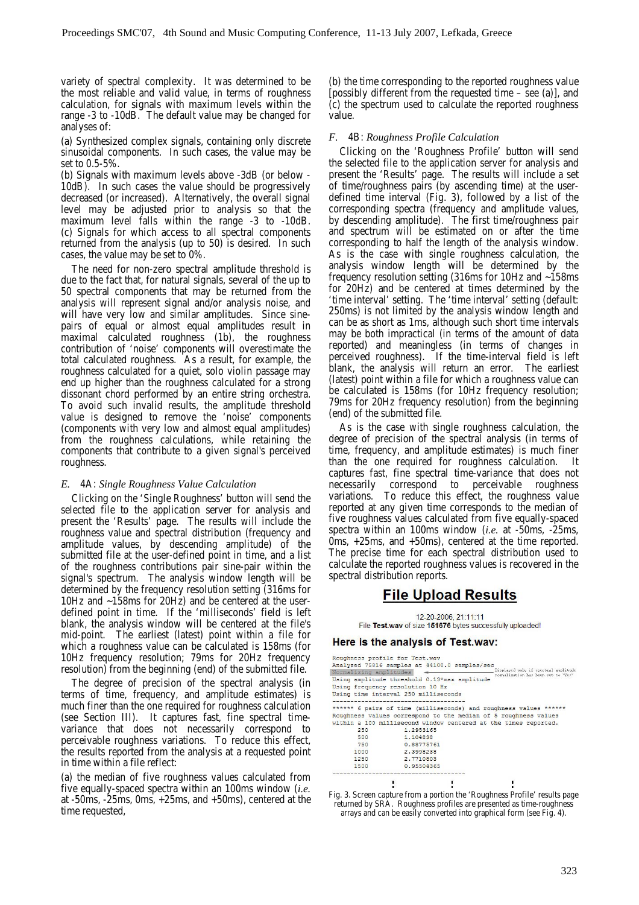variety of spectral complexity. It was determined to be the most reliable and valid value, in terms of roughness calculation, for signals with maximum levels within the range -3 to -10dB. The default value may be changed for analyses of:

(a) Synthesized complex signals, containing only discrete sinusoidal components. In such cases, the value may be set to 0.5-5%.

(b) Signals with maximum levels above -3dB (or below - 10dB). In such cases the value should be progressively decreased (or increased). Alternatively, the overall signal level may be adjusted prior to analysis so that the maximum level falls within the range -3 to -10dB. (c) Signals for which access to all spectral components returned from the analysis (up to 50) is desired. In such cases, the value may be set to 0%.

The need for non-zero spectral amplitude threshold is due to the fact that, for natural signals, several of the up to 50 spectral components that may be returned from the analysis will represent signal and/or analysis noise, and will have very low and similar amplitudes. Since sinepairs of equal or almost equal amplitudes result in maximal calculated roughness (1b), the roughness contribution of 'noise' components will overestimate the total calculated roughness. As a result, for example, the roughness calculated for a quiet, solo violin passage may end up higher than the roughness calculated for a strong dissonant chord performed by an entire string orchestra. To avoid such invalid results, the amplitude threshold value is designed to remove the 'noise' components (components with very low and almost equal amplitudes) from the roughness calculations, while retaining the components that contribute to a given signal's perceived roughness.

#### *E.* 4A: *Single Roughness Value Calculation*

Clicking on the 'Single Roughness' button will send the selected file to the application server for analysis and present the 'Results' page. The results will include the roughness value and spectral distribution (frequency and amplitude values, by descending amplitude) of the submitted file at the user-defined point in time, and a list of the roughness contributions pair sine-pair within the signal's spectrum. The analysis window length will be determined by the frequency resolution setting (316ms for 10Hz and  $\sim$ 158ms for 20Hz) and be centered at the userdefined point in time. If the 'milliseconds' field is left blank, the analysis window will be centered at the file's mid-point. The earliest (latest) point within a file for which a roughness value can be calculated is 158ms (for 10Hz frequency resolution; 79ms for 20Hz frequency resolution) from the beginning (end) of the submitted file.

The degree of precision of the spectral analysis (in terms of time, frequency, and amplitude estimates) is much finer than the one required for roughness calculation (see Section III). It captures fast, fine spectral timevariance that does not necessarily correspond to perceivable roughness variations. To reduce this effect, the results reported from the analysis at a requested point in time within a file reflect:

(a) the median of five roughness values calculated from five equally-spaced spectra within an 100ms window (*i.e.* at -50ms, -25ms, 0ms, +25ms, and +50ms), centered at the time requested,

(b) the time corresponding to the reported roughness value [possibly different from the requested time – see (a)], and (c) the spectrum used to calculate the reported roughness value.

# *F.* 4B: *Roughness Profile Calculation*

Clicking on the 'Roughness Profile' button will send the selected file to the application server for analysis and present the 'Results' page. The results will include a set of time/roughness pairs (by ascending time) at the userdefined time interval (Fig. 3), followed by a list of the corresponding spectra (frequency and amplitude values, by descending amplitude). The first time/roughness pair and spectrum will be estimated on or after the time corresponding to half the length of the analysis window. As is the case with single roughness calculation, the analysis window length will be determined by the frequency resolution setting  $(316\text{ms}$  for  $10\text{Hz}$  and  $\sim 158\text{ms}$ for 20Hz) and be centered at times determined by the 'time interval' setting. The 'time interval' setting (default: 250ms) is not limited by the analysis window length and can be as short as 1ms, although such short time intervals may be both impractical (in terms of the amount of data reported) and meaningless (in terms of changes in perceived roughness). If the time-interval field is left blank, the analysis will return an error. The earliest (latest) point within a file for which a roughness value can be calculated is 158ms (for 10Hz frequency resolution; 79ms for 20Hz frequency resolution) from the beginning (end) of the submitted file.

As is the case with single roughness calculation, the degree of precision of the spectral analysis (in terms of time, frequency, and amplitude estimates) is much finer than the one required for roughness calculation. It captures fast, fine spectral time-variance that does not necessarily correspond to perceivable roughness variations. To reduce this effect, the roughness value reported at any given time corresponds to the median of five roughness values calculated from five equally-spaced spectra within an 100ms window (*i.e.* at -50ms, -25ms, 0ms, +25ms, and +50ms), centered at the time reported. The precise time for each spectral distribution used to calculate the reported roughness values is recovered in the spectral distribution reports.

# **File Upload Results**

12-20-2006 21:11:11 File Test.wav of size 151676 bytes successfully uploaded!

#### Here is the analysis of Test.wav:

| Roughness profile for Test.way                |            |  |                                                                             |
|-----------------------------------------------|------------|--|-----------------------------------------------------------------------------|
| Analyzed 75816 samples at 44100.0 samples/sec |            |  |                                                                             |
| Normalizing amplitudes                        |            |  | Displayed only if spectral amplitude<br>normalization has been set to "Yes" |
| Using amplitude threshold 0.13*max amplitude  |            |  |                                                                             |
| Using frequency resolution 10 Hz              |            |  |                                                                             |
| Using time interval 250 milliseconds          |            |  |                                                                             |
|                                               |            |  |                                                                             |
|                                               |            |  | ****** 6 pairs of time (milliseconds) and roughness values ****             |
|                                               |            |  | Roughness values correspond to the median of 5 roughness values             |
|                                               |            |  | within a 100 millisecond window centered at the times reported.             |
| 250                                           | 1.2953165  |  |                                                                             |
| 500                                           | 1,104838   |  |                                                                             |
| 750                                           | 0.88775761 |  |                                                                             |
| 1000                                          | 2.3998238  |  |                                                                             |
| 1250                                          | 2,7710803  |  |                                                                             |
| 1500                                          | 0.95504365 |  |                                                                             |
|                                               |            |  |                                                                             |
|                                               |            |  |                                                                             |
|                                               |            |  |                                                                             |
|                                               |            |  |                                                                             |

Fig. 3. Screen capture from a portion the 'Roughness Profile' results page returned by SRA. Roughness profiles are presented as time-roughness arrays and can be easily converted into graphical form (see Fig. 4).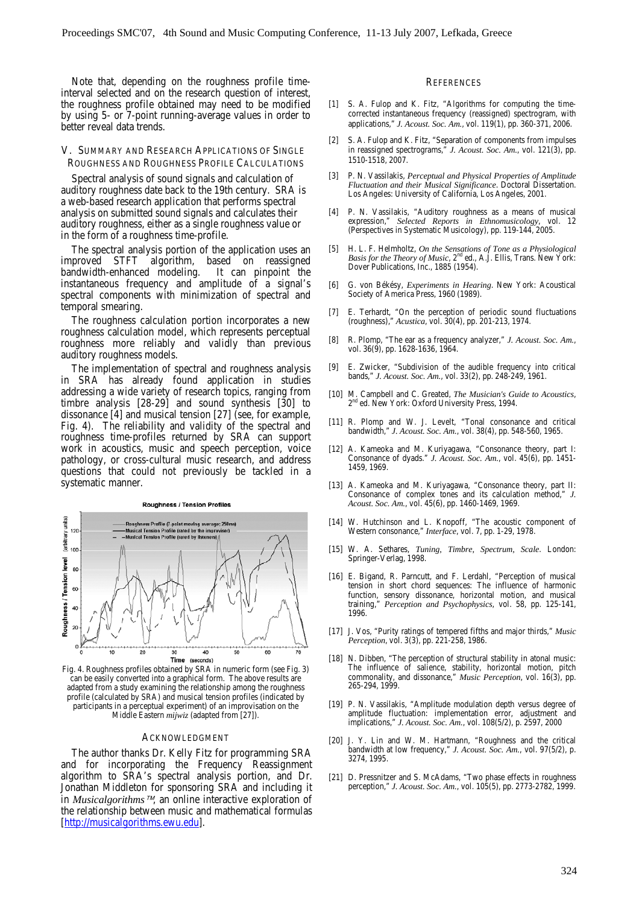Note that, depending on the roughness profile timeinterval selected and on the research question of interest, the roughness profile obtained may need to be modified by using 5- or 7-point running-average values in order to better reveal data trends.

# V. SUMMARY AND RESEARCH APPLICATIONS OF SINGLE ROUGHNESS AND ROUGHNESS PROFILE CALCULATIONS

Spectral analysis of sound signals and calculation of auditory roughness date back to the 19th century. SRA is a web-based research application that performs spectral analysis on submitted sound signals and calculates their auditory roughness, either as a single roughness value or in the form of a roughness time-profile.

The spectral analysis portion of the application uses an improved STFT algorithm, based on reassigned bandwidth-enhanced modeling. instantaneous frequency and amplitude of a signal's spectral components with minimization of spectral and temporal smearing.

The roughness calculation portion incorporates a new roughness calculation model, which represents perceptual roughness more reliably and validly than previous auditory roughness models.

The implementation of spectral and roughness analysis in SRA has already found application in studies addressing a wide variety of research topics, ranging from timbre analysis [28-29] and sound synthesis [30] to dissonance [4] and musical tension [27] (see, for example, Fig. 4). The reliability and validity of the spectral and roughness time-profiles returned by SRA can support work in acoustics, music and speech perception, voice pathology, or cross-cultural music research, and address questions that could not previously be tackled in a systematic manner.

#### **Roughness / Tension Profiles**



Fig. 4. Roughness profiles obtained by SRA in numeric form (see Fig. 3) can be easily converted into a graphical form. The above results are adapted from a study examining the relationship among the roughness profile (calculated by SRA) and musical tension profiles (indicated by participants in a perceptual experiment) of an improvisation on the Middle Eastern *mijwiz* (adapted from [27]).

#### ACKNOWLEDGMENT

The author thanks Dr. Kelly Fitz for programming SRA and for incorporating the Frequency Reassignment algorithm to SRA's spectral analysis portion, and Dr. Jonathan Middleton for sponsoring SRA and including it in *Musicalgorithms™*, an online interactive exploration of the relationship between music and mathematical formulas [http://musicalgorithms.ewu.edu].

# **REFERENCES**

- [1] S. A. Fulop and K. Fitz, "Algorithms for computing the timecorrected instantaneous frequency (reassigned) spectrogram, with applications," *J. Acoust. Soc. Am.*, vol. 119(1), pp. 360-371, 2006.
- S. A. Fulop and K. Fitz, "Separation of components from impulses in reassigned spectrograms," *J. Acoust. Soc. Am.*, vol. 121(3), pp. 1510-1518, 2007.
- [3] P. N. Vassilakis, *Perceptual and Physical Properties of Amplitude Fluctuation and their Musical Significance*. Doctoral Dissertation. Los Angeles: University of California, Los Angeles, 2001.
- [4] P. N. Vassilakis, "Auditory roughness as a means of musical expression," *Selected Reports in Ethnomusicology*, vol. 12 (Perspectives in Systematic Musicology), pp. 119-144, 2005.
- [5] H. L. F. Helmholtz, *On the Sensations of Tone as a Physiological Basis for the Theory of Music*,  $2<sup>nd</sup>$  ed., A.J. Ellis, Trans. New York: Dover Publications, Inc., 1885 (1954).
- [6] G. von Békésy, *Experiments in Hearing*. New York: Acoustical Society of America Press, 1960 (1989).
- [7] E. Terhardt, "On the perception of periodic sound fluctuations (roughness)," *Acustica*, vol. 30(4), pp. 201-213, 1974.
- [8] R. Plomp, "The ear as a frequency analyzer," *J. Acoust. Soc. Am.*, vol. 36(9), pp. 1628-1636, 1964.
- [9] E. Zwicker, "Subdivision of the audible frequency into critical bands," *J. Acoust. Soc. Am.*, vol. 33(2), pp. 248-249, 1961.
- [10] M. Campbell and C. Greated, *The Musician's Guide to Acoustics*, 2nd ed. New York: Oxford University Press, 1994.
- [11] R. Plomp and W. J. Levelt, "Tonal consonance and critical bandwidth," *J. Acoust. Soc. Am.*, vol. 38(4), pp. 548-560, 1965.
- [12] A. Kameoka and M. Kuriyagawa, "Consonance theory, part I: Consonance of dyads." *J. Acoust. Soc. Am.*, vol. 45(6), pp. 1451- 1459, 1969.
- [13] A. Kameoka and M. Kuriyagawa, "Consonance theory, part II: Consonance of complex tones and its calculation method," *J. Acoust. Soc. Am.*, vol. 45(6), pp. 1460-1469, 1969.
- [14] W. Hutchinson and L. Knopoff, "The acoustic component of Western consonance," *Interface*, vol. 7, pp. 1-29, 1978.
- [15] W. A. Sethares, *Tuning, Timbre, Spectrum, Scale*. London: Springer-Verlag, 1998.
- [16] E. Bigand, R. Parncutt, and F. Lerdahl, "Perception of musical tension in short chord sequences: The influence of harmonic function, sensory dissonance, horizontal motion, and musical training," *Perception and Psychophysics*, vol. 58, pp. 125-141, 1996.
- [17] J. Vos, "Purity ratings of tempered fifths and major thirds," *Music Perception*, vol. 3(3), pp. 221-258, 1986.
- [18] N. Dibben, "The perception of structural stability in atonal music: The influence of salience, stability, horizontal motion, pitch commonality, and dissonance," *Music Perception*, vol. 16(3), pp. 265-294, 1999.
- [19] P. N. Vassilakis, "Amplitude modulation depth versus degree of amplitude fluctuation: implementation error, adjustment and implications," *J. Acoust. Soc. Am.*, vol. 108(5/2), p. 2597, 2000
- [20] J. Y. Lin and W. M. Hartmann, "Roughness and the critical bandwidth at low frequency," *J. Acoust. Soc. Am.*, vol. 97(5/2), p. 3274, 1995.
- [21] D. Pressnitzer and S. McAdams, "Two phase effects in roughness perception," *J. Acoust. Soc. Am.*, vol. 105(5), pp. 2773-2782, 1999.